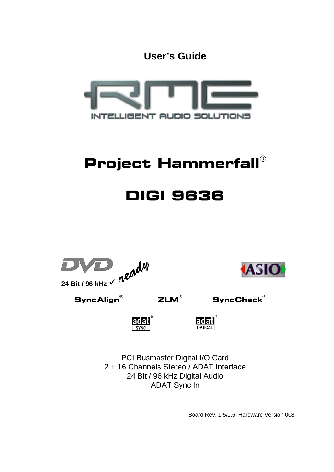**User's Guide**



# Project Hammerfall®

# DIGI 9636





 $\mathsf{SyncAlign}^\circ$  ZLM $^\circ$  SyncCheck $^\circ$ 

ladal



PCI Busmaster Digital I/O Card 2 + 16 Channels Stereo / ADAT Interface 24 Bit / 96 kHz Digital Audio ADAT Sync In

Board Rev. 1.5/1.6, Hardware Version 008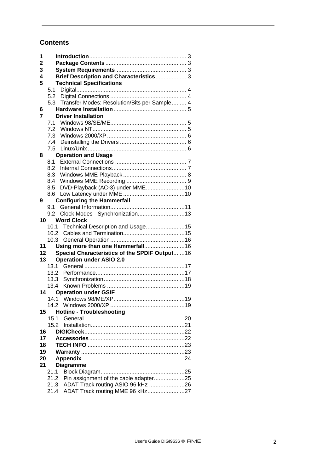# **Contents**

| 1               |      |                                               |  |
|-----------------|------|-----------------------------------------------|--|
| $\mathbf 2$     |      |                                               |  |
| 3               |      |                                               |  |
| 4               |      | Brief Description and Characteristics 3       |  |
| 5               |      | <b>Technical Specifications</b>               |  |
|                 | 5.1  |                                               |  |
|                 | 5.2  |                                               |  |
|                 | 5.3  | Transfer Modes: Resolution/Bits per Sample 4  |  |
| 6               |      |                                               |  |
| 7               |      | <b>Driver Installation</b>                    |  |
|                 | 7.1  |                                               |  |
|                 |      |                                               |  |
|                 | 7.3  |                                               |  |
|                 | 7.4  |                                               |  |
|                 |      |                                               |  |
| 8               |      | <b>Operation and Usage</b>                    |  |
|                 | 8.1  |                                               |  |
|                 | 8.2  |                                               |  |
|                 | 8.3  |                                               |  |
|                 | 8.4  |                                               |  |
|                 | 8.5  | DVD-Playback (AC-3) under MME10               |  |
|                 | 8.6  |                                               |  |
| 9               |      | <b>Configuring the Hammerfall</b>             |  |
|                 | 9.1  |                                               |  |
|                 |      | Clock Modes - Synchronization13               |  |
| 10              |      | <b>Word Clock</b>                             |  |
|                 | 10.1 | Technical Description and Usage15             |  |
|                 | 10.2 |                                               |  |
|                 | 10.3 |                                               |  |
| 11              |      | Using more than one Hammerfall16              |  |
| 12              |      | Special Characteristics of the SPDIF Output16 |  |
| 13 <sup>1</sup> |      | <b>Operation under ASIO 2.0</b>               |  |
|                 | 13.1 |                                               |  |
|                 | 13.2 |                                               |  |
|                 | 13.3 |                                               |  |
|                 | 13.4 |                                               |  |
|                 | 14   | <b>Operation under GSIF</b>                   |  |
|                 |      |                                               |  |
|                 |      |                                               |  |
| 15              |      | <b>Hotline - Troubleshooting</b>              |  |
|                 | 15.1 |                                               |  |
|                 | 15.2 |                                               |  |
| 16              |      |                                               |  |
| 17              |      |                                               |  |
| 18              |      |                                               |  |
| 19              |      |                                               |  |
| 20              |      |                                               |  |
| 21              |      | <b>Diagramme</b>                              |  |
|                 | 21.1 |                                               |  |
|                 | 21.2 | Pin assignment of the cable adapter25         |  |
|                 | 21.3 | ADAT Track routing ASIO 96 kHz 26             |  |
|                 | 21.4 | ADAT Track routing MME 96 kHz27               |  |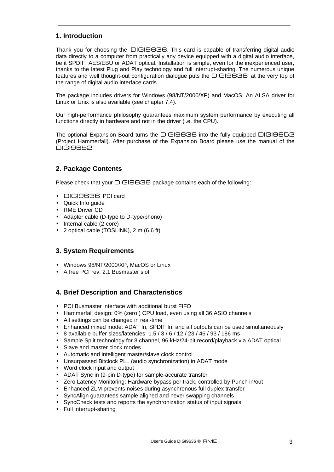# **1. Introduction**

Thank you for choosing the DIGI9636. This card is capable of transferring digital audio data directly to a computer from practically any device equipped with a digital audio interface, be it SPDIF, AES/EBU or ADAT optical. Installation is simple, even for the inexperienced user, thanks to the latest Plug and Play technology and full interrupt-sharing. The numerous unique features and well thought-out configuration dialogue puts the DIGI9636 at the very top of the range of digital audio interface cards.

The package includes drivers for Windows (98/NT/2000/XP) and MacOS. An ALSA driver for Linux or Unix is also available (see chapter 7.4).

Our high-performance philosophy guarantees maximum system performance by executing all functions directly in hardware and not in the driver (i.e. the CPU).

The optional Expansion Board turns the DIGI9636 into the fully equipped DIGI9652 (Project Hammerfall). After purchase of the Expansion Board please use the manual of the DIGI9652.

# **2. Package Contents**

Please check that your DIGI9636 package contains each of the following:

- DIGI9636 PCI card
- Quick Info quide
- RME Driver CD
- Adapter cable (D-type to D-type/phono)
- Internal cable (2-core)
- 2 optical cable (TOSLINK), 2 m (6.6 ft)

## **3. System Requirements**

- Windows 98/NT/2000/XP, MacOS or Linux
- A free PCI rev. 2.1 Busmaster slot

## **4. Brief Description and Characteristics**

- PCI Busmaster interface with additional burst FIFO
- Hammerfall design: 0% (zero!) CPU load, even using all 36 ASIO channels
- All settings can be changed in real-time
- Enhanced mixed mode: ADAT In, SPDIF In, and all outputs can be used simultaneously
- 8 available buffer sizes/latencies: 1.5 / 3 / 6 / 12 / 23 / 46 / 93 / 186 ms
- Sample Split technology for 8 channel, 96 kHz/24-bit record/playback via ADAT optical
- Slave and master clock modes
- Automatic and intelligent master/slave clock control
- Unsurpassed Bitclock PLL (audio synchronization) in ADAT mode
- Word clock input and output
- ADAT Sync in (9-pin D-type) for sample-accurate transfer
- Zero Latency Monitoring: Hardware bypass per track, controlled by Punch in/out
- Enhanced ZLM prevents noises during asynchronous full duplex transfer
- SyncAlign guarantees sample aligned and never swapping channels
- SyncCheck tests and reports the synchronization status of input signals
- Full interrupt-sharing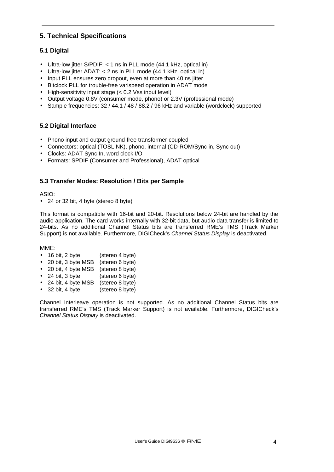# **5. Technical Specifications**

# **5.1 Digital**

- Ultra-low jitter S/PDIF: < 1 ns in PLL mode (44.1 kHz, optical in)
- Ultra-low jitter ADAT: < 2 ns in PLL mode (44.1 kHz, optical in)
- Input PLL ensures zero dropout, even at more than 40 ns jitter
- Bitclock PLL for trouble-free varispeed operation in ADAT mode
- High-sensitivity input stage (< 0.2 Vss input level)
- Output voltage 0.8V (consumer mode, phono) or 2.3V (professional mode)
- Sample frequencies: 32 / 44.1 / 48 / 88.2 / 96 kHz and variable (wordclock) supported

### **5.2 Digital Interface**

- Phono input and output ground-free transformer coupled
- Connectors: optical (TOSLINK), phono, internal (CD-ROM/Sync in, Sync out)
- Clocks: ADAT Sync In, word clock I/O
- Formats: SPDIF (Consumer and Professional), ADAT optical

### **5.3 Transfer Modes: Resolution / Bits per Sample**

ASIO:

• 24 or 32 bit, 4 byte (stereo 8 byte)

This format is compatible with 16-bit and 20-bit. Resolutions below 24-bit are handled by the audio application. The card works internally with 32-bit data, but audio data transfer is limited to 24-bits. As no additional Channel Status bits are transferred RME's TMS (Track Marker Support) is not available. Furthermore, DIGICheck's *Channel Status Display* is deactivated.

MME:

- 16 bit, 2 byte (stereo 4 byte)
- 20 bit, 3 byte MSB (stereo 6 byte)
- 20 bit, 4 byte MSB (stereo 8 byte)
- 24 bit, 3 byte (stereo 6 byte)
- 24 bit, 4 byte MSB (stereo 8 byte)
- 32 bit, 4 byte (stereo 8 byte)

Channel Interleave operation is not supported. As no additional Channel Status bits are transferred RME's TMS (Track Marker Support) is not available. Furthermore, DIGICheck's *Channel Status Display* is deactivated.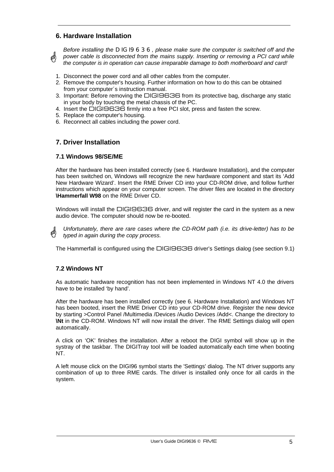## **6. Hardware Installation**

Ø

*Before installing the DIGI9636, please make sure the computer is switched off and the power cable is disconnected from the mains supply. Inserting or removing a PCI card while the computer is in operation can cause irreparable damage to both motherboard and card!*

- 1. Disconnect the power cord and all other cables from the computer.
- 2. Remove the computer's housing. Further information on how to do this can be obtained from your computer´s instruction manual.
- 3. Important: Before removing the DIGI9636 from its protective bag, discharge any static in your body by touching the metal chassis of the PC.
- 4. Insert the DIGI9636 firmly into a free PCI slot, press and fasten the screw.
- 5. Replace the computer's housing.
- 6. Reconnect all cables including the power cord.

#### **7. Driver Installation**

#### **7.1 Windows 98/SE/ME**

After the hardware has been installed correctly (see 6. Hardware Installation), and the computer has been switched on, Windows will recognize the new hardware component and start its 'Add New Hardware Wizard'. Insert the RME Driver CD into your CD-ROM drive, and follow further instructions which appear on your computer screen. The driver files are located in the directory **\Hammerfall W98** on the RME Driver CD.

Windows will install the DIGI9636 driver, and will register the card in the system as a new audio device. The computer should now be re-booted.

*Unfortunately, there are rare cases where the CD-ROM path (i.e. its drive-letter) has to be typed in again during the copy process.*

The Hammerfall is configured using the DIGI9636 driver's Settings dialog (see section 9.1)

#### **7.2 Windows NT**

As automatic hardware recognition has not been implemented in Windows NT 4.0 the drivers have to be installed 'by hand'.

After the hardware has been installed correctly (see 6. Hardware Installation) and Windows NT has been booted, insert the RME Driver CD into your CD-ROM drive. Register the new device by starting >Control Panel /Multimedia /Devices /Audio Devices /Add<. Change the directory to **\Nt** in the CD-ROM. Windows NT will now install the driver. The RME Settings dialog will open automatically.

A click on 'OK' finishes the installation. After a reboot the DIGI symbol will show up in the systray of the taskbar. The DIGITray tool will be loaded automatically each time when booting NT.

A left mouse click on the DIGI96 symbol starts the 'Settings' dialog. The NT driver supports any combination of up to three RME cards. The driver is installed only once for all cards in the system.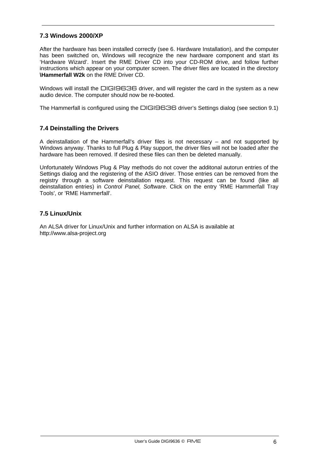#### **7.3 Windows 2000/XP**

After the hardware has been installed correctly (see 6. Hardware Installation), and the computer has been switched on, Windows will recognize the new hardware component and start its 'Hardware Wizard'. Insert the RME Driver CD into your CD-ROM drive, and follow further instructions which appear on your computer screen. The driver files are located in the directory **\Hammerfall W2k** on the RME Driver CD.

Windows will install the DIGI9636 driver, and will register the card in the system as a new audio device. The computer should now be re-booted.

The Hammerfall is configured using the DIGI9636 driver's Settings dialog (see section 9.1)

#### **7.4 Deinstalling the Drivers**

A deinstallation of the Hammerfall's driver files is not necessary – and not supported by Windows anyway. Thanks to full Plug & Play support, the driver files will not be loaded after the hardware has been removed. If desired these files can then be deleted manually.

Unfortunately Windows Plug & Play methods do not cover the additonal autorun entries of the Settings dialog and the registering of the ASIO driver. Those entries can be removed from the registry through a software deinstallation request. This request can be found (like all deinstallation entries) in *Control Panel, Software*. Click on the entry 'RME Hammerfall Tray Tools', or 'RME Hammerfall'.

#### **7.5 Linux/Unix**

An ALSA driver for Linux/Unix and further information on ALSA is available at http://www.alsa-project.org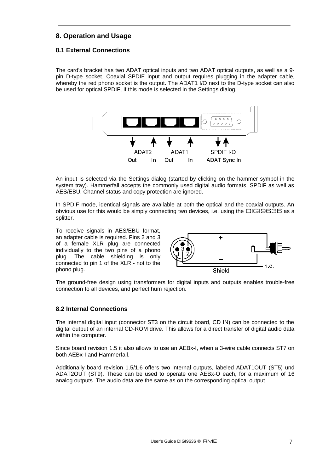# **8. Operation and Usage**

# **8.1 External Connections**

The card's bracket has two ADAT optical inputs and two ADAT optical outputs, as well as a 9 pin D-type socket. Coaxial SPDIF input and output requires plugging in the adapter cable, whereby the red phono socket is the output. The ADAT1 I/O next to the D-type socket can also be used for optical SPDIF, if this mode is selected in the Settings dialog.



An input is selected via the Settings dialog (started by clicking on the hammer symbol in the system tray). Hammerfall accepts the commonly used digital audio formats, SPDIF as well as AES/EBU. Channel status and copy protection are ignored.

In SPDIF mode, identical signals are available at both the optical and the coaxial outputs. An obvious use for this would be simply connecting two devices, i.e. using the DIGI9636 as a splitter.

To receive signals in AES/EBU format, an adapter cable is required. Pins 2 and 3 of a female XLR plug are connected individually to the two pins of a phono plug. The cable shielding is only connected to pin 1 of the XLR - not to the phono plug.



The ground-free design using transformers for digital inputs and outputs enables trouble-free connection to all devices, and perfect hum rejection.

#### **8.2 Internal Connections**

The internal digital input (connector ST3 on the circuit board, CD IN) can be connected to the digital output of an internal CD-ROM drive. This allows for a direct transfer of digital audio data within the computer.

Since board revision 1.5 it also allows to use an AEBx-I, when a 3-wire cable connects ST7 on both AEBx-I and Hammerfall.

Additionally board revision 1.5/1.6 offers two internal outputs, labeled ADAT1OUT (ST5) und ADAT2OUT (ST9). These can be used to operate one AEBx-O each, for a maximum of 16 analog outputs. The audio data are the same as on the corresponding optical output.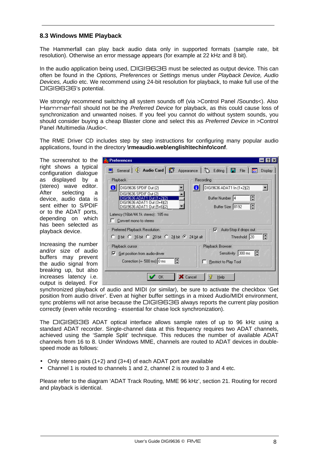#### **8.3 Windows MME Playback**

The Hammerfall can play back audio data only in supported formats (sample rate, bit resolution). Otherwise an error message appears (for example at 22 kHz and 8 bit).

In the audio application being used, DIGI9636 must be selected as output device. This can often be found in the *Options, Preferences* or *Settings* menus under *Playback Device, Audio Devices, Audio* etc. We recommend using 24-bit resolution for playback, to make full use of the DIGI9636's potential.

We strongly recommend switching all system sounds off (via >Control Panel /Sounds<). Also Hammerfall should not be the *Preferred Device* for playback, as this could cause loss of synchronization and unwanted noises. If you feel you cannot do without system sounds, you should consider buying a cheap Blaster clone and select this as *Preferred Device* in >Control Panel /Multimedia /Audio<.

The RME Driver CD includes step by step instructions for configuring many popular audio applications, found in the directory **\rmeaudio.web\english\techinfo\conf**.

The screenshot to the right shows a typical configuration dialogue as displayed by a (stereo) wave editor. After selecting a device, audio data is sent either to S/PDIF or to the ADAT ports, depending on which has been selected as playback device.

Increasing the number and/or size of audio buffers may prevent the audio signal from breaking up, but also increases latency i.e. output is delayed. For

| Preferences                                                                                                                   |                                                                             |
|-------------------------------------------------------------------------------------------------------------------------------|-----------------------------------------------------------------------------|
| General   I: Audio Card   7 Appearance   0 Editing   8                                                                        | File<br>Display                                                             |
| <b>Playback</b><br>DIGI9636 SPDIF Out (2)<br>Ð<br>DIGI9636 SPDIF Out (2)<br>DIGI9636 ADAT1<br>Dut (1+2)(2)                    | Recording<br>DIGI9636 ADAT1 In (1+2)(2)<br>O<br>H<br>Buffer Number 4        |
| DIGI9636 ADAT1 Out (3+4)(2)<br>DIGI9636 ADAT1 Out (5+6)(2)<br>Latency (16bit/44.1k stereo) : 185 ms<br>Convert mono to stereo | Buffer Size 8192<br>H                                                       |
| Preferred Playback Resolution<br>C 8 bit C 16 bit C 20 bit C 24 bit C 24 bit alt                                              | Auto-Stop if drops out<br>⊽<br>₿<br>Threshold 20                            |
| Playback cursor<br><b>Get position from audio-driver</b><br>⊽<br>H<br>Correction [+- 500 ms] 0 ms                             | Playback Browser<br>Sensitivity 300 ms<br>昌<br><b>Restrict to Play Tool</b> |
| <b>X</b> Cancel<br>OK                                                                                                         | 2<br>Help                                                                   |

synchronized playback of audio and MIDI (or similar), be sure to activate the checkbox 'Get position from audio driver'. Even at higher buffer settings in a mixed Audio/MIDI environment, sync problems will not arise because the DIGI9636 always reports the current play position correctly (even while recording - essential for chase lock synchronization).

The DIGI9636 ADAT optical interface allows sample rates of up to 96 kHz using a standard ADAT recorder. Single-channel data at this frequency requires two ADAT channels, achieved using the 'Sample Split' technique. This reduces the number of available ADAT channels from 16 to 8. Under Windows MME, channels are routed to ADAT devices in doublespeed mode as follows:

- Only stereo pairs (1+2) and (3+4) of each ADAT port are available
- Channel 1 is routed to channels 1 and 2, channel 2 is routed to 3 and 4 etc.

Please refer to the diagram 'ADAT Track Routing, MME 96 kHz', section 21. Routing for record and playback is identical.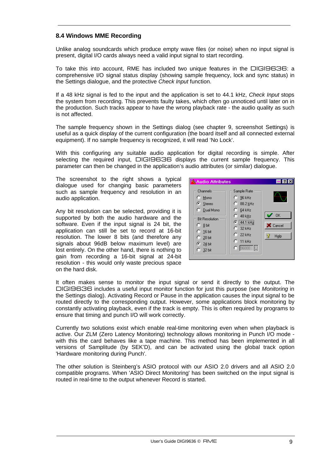### **8.4 Windows MME Recording**

Unlike analog soundcards which produce empty wave files (or noise) when no input signal is present, digital I/O cards always need a valid input signal to start recording.

To take this into account, RME has included two unique features in the DIGI9636: a comprehensive I/O signal status display (showing sample frequency, lock and sync status) in the Settings dialogue, and the protective *Check Input* function.

If a 48 kHz signal is fed to the input and the application is set to 44.1 kHz, *Check Input* stops the system from recording. This prevents faulty takes, which often go unnoticed until later on in the production. Such tracks appear to have the wrong playback rate - the audio quality as such is not affected.

The sample frequency shown in the Settings dialog (see chapter 9, screenshot Settings) is useful as a quick display of the current configuration (the board itself and all connected external equipment). If no sample frequency is recognized, it will read 'No Lock'.

With this configuring any suitable audio application for digital recording is simple. After selecting the required input, DIGI9636 displays the current sample frequency. This parameter can then be changed in the application's audio attributes (or similar) dialogue.

The screenshot to the right shows a typical dialogue used for changing basic parameters such as sample frequency and resolution in an audio application.

Any bit resolution can be selected, providing it is supported by both the audio hardware and the software. Even if the input signal is 24 bit, the application can still be set to record at 16-bit resolution. The lower 8 bits (and therefore any signals about 96dB below maximum level) are lost entirely. On the other hand, there is nothing to gain from recording a 16-bit signal at 24-bit resolution - this would only waste precious space on the hard disk.



It often makes sense to monitor the input signal or send it directly to the output. The DIGI9636 includes a useful input monitor function for just this purpose (see *Monitoring* in the Settings dialog). Activating Record or Pause in the application causes the input signal to be routed directly to the corresponding output. However, some applications block monitoring by constantly activating playback, even if the track is empty. This is often required by programs to ensure that timing and punch I/O will work correctly.

Currently two solutions exist which enable real-time monitoring even when when playback is active. Our ZLM (Zero Latency Monitoring) technology allows monitoring in Punch I/O mode with this the card behaves like a tape machine. This method has been implemented in all versions of Samplitude (by SEK'D), and can be activated using the global track option 'Hardware monitoring during Punch'.

The other solution is Steinberg's ASIO protocol with our ASIO 2.0 drivers and all ASIO 2.0 compatible programs. When 'ASIO Direct Monitoring' has been switched on the input signal is routed in real-time to the output whenever Record is started.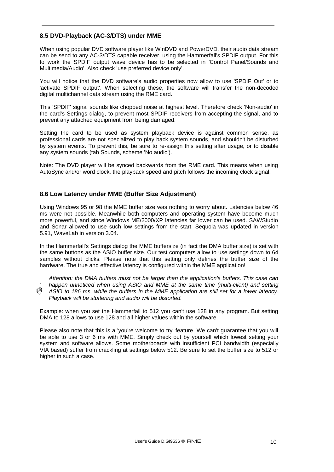#### **8.5 DVD-Playback (AC-3/DTS) under MME**

When using popular DVD software player like WinDVD and PowerDVD, their audio data stream can be send to any AC-3/DTS capable receiver, using the Hammerfall's SPDIF output. For this to work the SPDIF output wave device has to be selected in 'Control Panel/Sounds and Multimedia/Audio'. Also check 'use preferred device only'.

You will notice that the DVD software's audio properties now allow to use 'SPDIF Out' or to 'activate SPDIF output'. When selecting these, the software will transfer the non-decoded digital multichannel data stream using the RME card.

This 'SPDIF' signal sounds like chopped noise at highest level. Therefore check 'Non-audio' in the card's Settings dialog, to prevent most SPDIF receivers from accepting the signal, and to prevent any attached equipment from being damaged.

Setting the card to be used as system playback device is against common sense, as professional cards are not specialized to play back system sounds, and shouldn't be disturbed by system events. To prevent this, be sure to re-assign this setting after usage, or to disable any system sounds (tab Sounds, scheme 'No audio').

Note: The DVD player will be synced backwards from the RME card. This means when using AutoSync and/or word clock, the playback speed and pitch follows the incoming clock signal.

#### **8.6 Low Latency under MME (Buffer Size Adjustment)**

Using Windows 95 or 98 the MME buffer size was nothing to worry about. Latencies below 46 ms were not possible. Meanwhile both computers and operating system have become much more powerful, and since Windows ME/2000/XP latencies far lower can be used. SAWStudio and Sonar allowed to use such low settings from the start. Sequoia was updated in version 5.91, WaveLab in version 3.04.

In the Hammerfall's Settings dialog the MME buffersize (in fact the DMA buffer size) is set with the same buttons as the ASIO buffer size. Our test computers allow to use settings down to 64 samples without clicks. Please note that this setting only defines the buffer size of the hardware. The true and effective latency is configured within the MME application!

*Attention: the DMA buffers must not be larger than the application's buffers. This case can happen unnoticed when using ASIO and MME at the same time (multi-client) and setting ASIO to 186 ms, while the buffers in the MME application are still set for a lower latency. Playback will be stuttering and audio will be distorted.*

Example: when you set the Hammerfall to 512 you can't use 128 in any program. But setting DMA to 128 allows to use 128 and all higher values within the software.

Please also note that this is a 'you're welcome to try' feature. We can't guarantee that you will be able to use 3 or 6 ms with MME. Simply check out by yourself which lowest setting your system and software allows. Some motherboards with insufficient PCI bandwidth (especially VIA based) suffer from crackling at settings below 512. Be sure to set the buffer size to 512 or higher in such a case.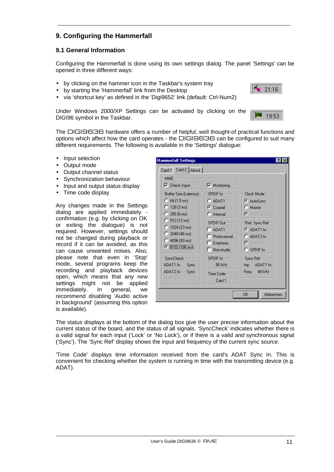# **9. Configuring the Hammerfall**

#### **9.1 General Information**

Configuring the Hammerfall is done using its own settings dialog. The panel 'Settings' can be opened in three different ways:

- by clicking on the hammer icon in the Taskbar's system tray
- by starting the 'Hammerfall' link from the Desktop
- via 'shortcut key' as defined in the 'Digi9652' link (default: Ctrl-Num2)

Under Windows 2000/XP Settings can be activated by clicking on the DIGI96 symbol in the Taskbar.

The DIGI9636 hardware offers a number of helpful, well thought-of practical functions and options which affect how the card operates - the DIGI9636 can be configured to suit many different requirements. The following is available in the 'Settings' dialogue:

- Input selection
- Output mode
- Output channel status
- Synchronization behaviour
- Input and output status display
- Time code display

Any changes made in the Settings dialog are applied immediately confirmation (e.g. by clicking on OK or exiting the dialogue) is not required. However, settings should not be changed during playback or record if it can be avoided, as this can cause unwanted noises. Also, please note that even in 'Stop' mode, several programs keep the recording and playback devices open, which means that any new settings might not be applied immediately. In general, we recommend disabling 'Audio active in background' (assuming this option is available).

| <b>Hammerfall Settings</b><br>Card 2   About  <br>Card 1<br>MME.                                                                                                                                                    |                                                                                                                                                  |                                                                                                                                                        |
|---------------------------------------------------------------------------------------------------------------------------------------------------------------------------------------------------------------------|--------------------------------------------------------------------------------------------------------------------------------------------------|--------------------------------------------------------------------------------------------------------------------------------------------------------|
| $\nabla$ Check Input<br>Buffer Size (Latency)<br>$C$ 64 (1,5 ms)<br>$C$ 128 (3 ms)<br>$C$ 256 (6 ms)<br>$C$ 512 (12 ms)<br>$\degree$ 1024 (23 ms)<br>$C$ 2048 (46 ms)<br>$C$ 4096 (93 ms)<br><b>⊙</b> 8192 (186 ms) | $\nabla$ Monitoring<br>SPDIF In-<br>$C$ ADAT1<br>C Coaxial<br>$\cap$ Internal<br>SPDIF Out<br>$-$ ADAT1<br>Professional<br>Emphasis<br>Non-Audio | Clock Mode:<br>C AutoSync<br>$\bigcap$ Master<br><b>O</b> Word Clock<br>Pref. Sync Ref<br>$G$ ADAT1 In<br>$C$ ADAT2 In<br>$O$ ADAT3 In<br>$C$ SPDIF In |
| SyncCheck:<br>ADAT1 In<br>Sync<br>ADAT2 In<br>Sync<br>ADAT3 In                                                                                                                                                      | SPDIE In=<br><b>96 kHz</b><br>Time Code:<br>Card 1                                                                                               | Sync Ref-<br>ADAT1 In<br>Inp.<br>Freq. 48 kHz<br>Abbrechen<br>OK                                                                                       |

 $21:16$ 

19:53

The status displays at the bottom of the dialog box give the user precise information about the current status of the board, and the status of all signals. 'SyncCheck' indicates whether there is a valid signal for each input ('Lock' or 'No Lock'), or if there is a valid *and* synchronous signal ('Sync'). The 'Sync Ref' display shows the input and frequency of the current sync source.

'Time Code' displays time information received from the card's ADAT Sync In. This is convenient for checking whether the system is running in time with the transmitting device (e.g. ADAT).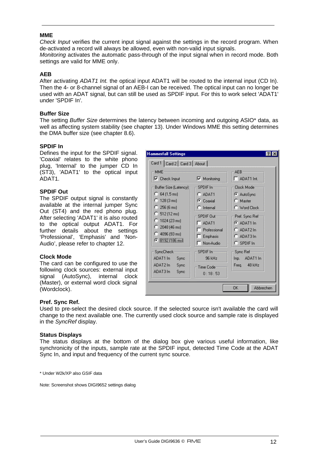#### **MME**

*Check Input* verifies the current input signal against the settings in the record program. When de-activated a record will always be allowed, even with non-valid input signals. *Monitoring* activates the automatic pass-through of the input signal when in record mode. Both settings are valid for MME only.

#### **AEB**

After activating *ADAT1 Int.* the optical input ADAT1 will be routed to the internal input (CD In). Then the 4- or 8-channel signal of an AEB-I can be received. The optical input can no longer be used with an ADAT signal, but can still be used as SPDIF input. For this to work select 'ADAT1' under 'SPDIF In'.

#### **Buffer Size**

The setting *Buffer Size* determines the latency between incoming and outgoing ASIO\* data, as well as affecting system stability (see chapter 13). Under Windows MME this setting determines the DMA buffer size (see chapter 8.6).

#### **SPDIF In**

Defines the input for the SPDIF signal. 'Coaxial' relates to the white phono plug, 'Internal' to the jumper CD In (ST3), 'ADAT1' to the optical input ADAT1.

#### **SPDIF Out**

The SPDIF output signal is constantly available at the internal jumper Sync Out (ST4) and the red phono plug. After selecting 'ADAT1' it is also routed to the optical output ADAT1. For further details about the settings 'Professional', 'Emphasis' and 'Non-Audio', please refer to chapter 12.

#### **Clock Mode**

The card can be configured to use the following clock sources: external input signal (AutoSync), internal clock (Master), or external word clock signal (Wordclock).

| <b>Hammerfall Settings</b>                                                                                                                                             |                                                                                               |                                                                                                        |  |  |
|------------------------------------------------------------------------------------------------------------------------------------------------------------------------|-----------------------------------------------------------------------------------------------|--------------------------------------------------------------------------------------------------------|--|--|
| Card 1   Card 2   Card 3   About                                                                                                                                       |                                                                                               |                                                                                                        |  |  |
| <b>MME</b><br>$\nabla$ Check Input<br>Buffer Size (Latency) <sub>1</sub><br>$C$ 64 (1,5 ms)<br>$C$ 128 (3 ms)<br>$C$ 256 (6 ms)<br>$C$ 512 (12 ms)<br>$C$ 1024 (23 ms) | $\nabla$ Monitoring<br>SPDIF In:<br>$C$ ADAT1<br>C Coaxial<br>$\Gamma$ Internal<br>SPDIF Out- | AEB-<br>ADAT1 Int.<br>Clock Mode-<br>C AutoSync<br>$\bigcap$ Master<br>C Word Clock<br>Pref. Sync Ref- |  |  |
| $\degree$ 2048 (46 ms)<br>$C$ 4096 (93 ms)<br><b>●</b> 8192 (186 ms)                                                                                                   | $-$ ADAT1<br>Professional<br>Emphasis<br>Non-Audio                                            | $G$ ADAT1 In<br>$C$ ADAT2 In<br>$C$ ADAT3 In<br>$C$ SPDIF In                                           |  |  |
| SyncCheck:<br>ADAT1 In<br>Sync<br>ADAT2 In<br>Sync<br>ADAT3 In<br>Sync                                                                                                 | $SPDIF$ $In =$<br>96 kHz<br>Time Code-<br>0:18:53                                             | Sync Ref-<br>Inp. ADAT1 In<br>Freq. 48 kHz                                                             |  |  |
| OK<br>Abbrechen                                                                                                                                                        |                                                                                               |                                                                                                        |  |  |

#### **Pref. Sync Ref.**

Used to pre-select the desired clock source. If the selected source isn't available the card will change to the next available one. The currently used clock source and sample rate is displayed in the *SyncRef* display.

#### **Status Displays**

The status displays at the bottom of the dialog box give various useful information, like synchronicity of the inputs, sample rate at the SPDIF input, detected Time Code at the ADAT Sync In, and input and frequency of the current sync source.

\* Under W2k/XP also GSIF data

Note: Screenshot shows DIGI9652 settings dialog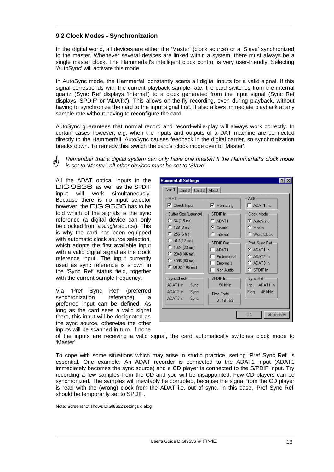## **9.2 Clock Modes - Synchronization**

In the digital world, all devices are either the 'Master' (clock source) or a 'Slave' synchronized to the master. Whenever several devices are linked within a system, there must always be a single master clock. The Hammerfall's intelligent clock control is very user-friendly. Selecting 'AutoSync' will activate this mode.

In AutoSync mode, the Hammerfall constantly scans all digital inputs for a valid signal. If this signal corresponds with the current playback sample rate, the card switches from the internal quartz (Sync Ref displays 'Internal') to a clock generated from the input signal (Sync Ref displays 'SPDIF' or 'ADATx'). This allows on-the-fly recording, even during playback, without having to synchronize the card to the input signal first. It also allows immediate playback at any sample rate without having to reconfigure the card.

AutoSync guarantees that normal record and record-while-play will always work correctly. In certain cases however, e.g. when the inputs and outputs of a DAT machine are connected directly to the Hammerfall, AutoSync causes feedback in the digital carrier, so synchronization breaks down. To remedy this, switch the card's clock mode over to 'Master'.

*Remember that a digital system can only have one master! If the Hammerfall's clock mode is set to 'Master', all other devices must be set to 'Slave'.*

All the ADAT optical inputs in the DIGI9636 as well as the SPDIF input will work simultaneously. Because there is no input selector however, the DIGI9636 has to be told which of the signals is the sync reference (a digital device can only be clocked from a *single* source). This is why the card has been equipped with automatic clock source selection, which adopts the first available input with a valid digital signal as the clock reference input. The input currently used as sync reference is shown in the 'Sync Ref' status field, together with the current sample frequency.

Via 'Pref Sync Ref' (preferred synchronization reference) a preferred input can be defined. As long as the card sees a valid signal there, this input will be designated as the sync source, otherwise the other inputs will be scanned in turn. If none

| AEB-<br>MME                                                                                                                                                          |                                                                                                             |                                                                                                                                       |  |
|----------------------------------------------------------------------------------------------------------------------------------------------------------------------|-------------------------------------------------------------------------------------------------------------|---------------------------------------------------------------------------------------------------------------------------------------|--|
| $\nabla$ Check Input                                                                                                                                                 | $\nabla$ Monitoring                                                                                         | ADAT1 Int.<br>╗                                                                                                                       |  |
| Buffer Size (Latency)<br>$C$ 64 (1,5 ms)<br>$C$ 128 (3 ms)<br>$256(6)$ ms)<br>n<br>$C$ 512 (12 ms)<br>$\bigcap$ 1024 (23 ms)<br>$C$ 2048 (46 ms)<br>$C$ 4096 (93 ms) | SPDIF In-<br>$C$ ADAT1<br>C Coaxial<br>$\Gamma$ Internal<br>SPDIF Out-<br>ADAT1<br>Professional<br>Emphasis | Clock Mode-<br>C AutoSync<br>$\bigcap$ Master<br>$\cap$ Word Clock<br>Pref. Sync Ref-<br>$G$ ADAT1 In<br>$C$ ADAT2 In<br>$C$ ADAT3 In |  |
| <b>⊙</b> 8192 (186 ms)                                                                                                                                               | Non-Audio                                                                                                   | $C$ SPDIF In                                                                                                                          |  |
| SyncCheck:<br>ADAT1 In<br>Sync<br>ADAT2 In<br>Sync<br>ADAT3 In<br>Sync                                                                                               | $SPDIF$ $In =$<br>96 kHz<br>Time Code-<br>0:18:53                                                           | Sync Ref≔<br>Inp. ADAT1 In<br>Freg. 48 kHz                                                                                            |  |

of the inputs are receiving a valid signal, the card automatically switches clock mode to 'Master'.

To cope with some situations which may arise in studio practice, setting 'Pref Sync Ref' is essential. One example: An ADAT recorder is connected to the ADAT1 input (ADAT1 immediately becomes the sync source) and a CD player is connected to the S/PDIF input. Try recording a few samples from the CD and you will be disappointed. Few CD players can be synchronized. The samples will inevitably be corrupted, because the signal from the CD player is read with the (wrong) clock from the ADAT i.e. out of sync. In this case, 'Pref Sync Ref' should be temporarily set to SPDIF.

Note: Screenshot shows DIGI9652 settings dialog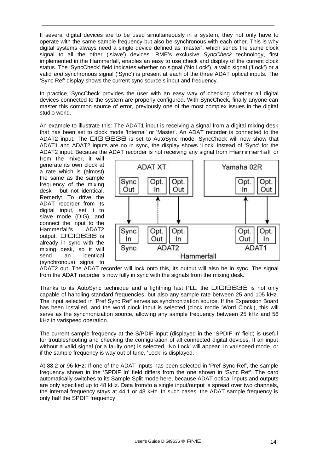If several digital devices are to be used simultaneously in a system, they not only have to operate with the same sample frequency but also be synchronous with each other. This is why digital systems always need a single device defined as 'master', which sends the same clock signal to all the other ('slave') devices. RME's exclusive *SyncCheck* technology, first implemented in the Hammerfall, enables an easy to use check and display of the current clock status. The 'SyncCheck' field indicates whether no signal ('No Lock'), a valid signal ('Lock') or a valid *and* synchronous signal ('Sync') is present at each of the three ADAT optical inputs. The 'Sync Ref' display shows the current sync source's input and frequency.

In practice, SyncCheck provides the user with an easy way of checking whether all digital devices connected to the system are properly configured. With SyncCheck, finally anyone can master this common source of error, previously one of the most complex issues in the digital studio world.

An example to illustrate this: The ADAT1 input is receiving a signal from a digital mixing desk that has been set to clock mode 'Internal' or 'Master'. An ADAT recorder is connected to the ADAT2 input. The DIGI9636 is set to AutoSync mode. SyncCheck will now show that ADAT1 and ADAT2 inputs are no in sync, the display shows 'Lock' instead of 'Sync' for the ADAT2 input. Because the ADAT recorder is not receiving any signal from Hammerfall or

from the mixer, it will generate its own clock at a rate which is (almost) the same as the sample frequency of the mixing desk - but not identical. Remedy: To drive the ADAT recorder from its digital input, set it to slave mode (DIG), and connect the input to the Hammerfall's ADAT2 output. DIGI9636 is already in sync with the mixing desk, so it will send an identical (synchronous) signal to



ADAT2 out. The ADAT recorder will lock onto this, its output will also be in sync. The signal from the ADAT recorder is now fully in sync with the signals from the mixing desk.

Thanks to its AutoSync technique and a lightning fast PLL, the DIGI9636 is not only capable of handling standard frequencies, but also any sample rate between 25 and 105 kHz. The input selected in 'Pref Sync Ref' serves as synchronization source. If the Expansion Board has been installed, and the word clock input is selected (clock mode 'Word Clock'), this will serve as the synchronization source, allowing any sample frequency between 25 kHz and 56 kHz in varispeed operation.

The current sample frequency at the S/PDIF input (displayed in the 'SPDIF In' field) is useful for troubleshooting and checking the configuration of all connected digital devices. If an input without a valid signal (or a faulty one) is selected, 'No Lock' will appear. In varispeed mode, or if the sample frequency is way out of tune, 'Lock' is displayed.

At 88.2 or 96 kHz: If one of the ADAT inputs has been selected in 'Pref Sync Ref', the sample frequency shown in the 'SPDIF In' field differs from the one shown in 'Sync Ref'. The card automatically switches to its Sample Split mode here, because ADAT optical inputs and outputs are only specified up to 48 kHz. Data from/to a single input/output is spread over two channels, the internal frequency stays at 44.1 or 48 kHz. In such cases, the ADAT sample frequency is only half the SPDIF frequency.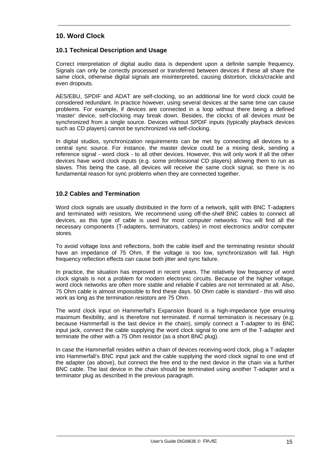## **10. Word Clock**

#### **10.1 Technical Description and Usage**

Correct interpretation of digital audio data is dependent upon a definite sample frequency. Signals can only be correctly processed or transferred between devices if these all share the same clock, otherwise digital signals are misinterpreted, causing distortion, clicks/crackle and even dropouts.

AES/EBU, SPDIF and ADAT are self-clocking, so an additional line for word clock could be considered redundant. In practice however, using several devices at the same time can cause problems. For example, if devices are connected in a loop without there being a defined 'master' device, self-clocking may break down. Besides, the clocks of all devices must be synchronized from a single source. Devices without SPDIF inputs (typically playback devices such as CD players) cannot be synchronized via self-clocking.

In digital studios, synchronization requirements can be met by connecting all devices to a central sync source. For instance, the master device could be a mixing desk, sending a reference signal - word clock - to all other devices. However, this will only work if all the other devices have word clock inputs (e.g. some professional CD players) allowing them to run as slaves. This being the case, all devices will receive the same clock signal, so there is no fundamental reason for sync problems when they are connected together.

#### **10.2 Cables and Termination**

Word clock signals are usually distributed in the form of a network, split with BNC T-adapters and terminated with resistors. We recommend using off-the-shelf BNC cables to connect all devices, as this type of cable is used for most computer networks. You will find all the necessary components (T-adapters, terminators, cables) in most electronics and/or computer stores.

To avoid voltage loss and reflections, both the cable itself and the terminating resistor should have an impedance of 75 Ohm. If the voltage is too low, synchronization will fail. High frequency reflection effects can cause both jitter and sync failure.

In practice, the situation has improved in recent years. The relatively low frequency of word clock signals is not a problem for modern electronic circuits. Because of the higher voltage, word clock networks are often more stable and reliable if cables are not terminated at all. Also, 75 Ohm cable is almost impossible to find these days. 50 Ohm cable is standard - this will also work as long as the termination resistors are 75 Ohm.

The word clock input on Hammerfall's Expansion Board is a high-impedance type ensuring maximum flexibility, and is therefore not terminated. If normal termination is necessary (e.g. because Hammerfall is the last device in the chain), simply connect a T-adapter to its BNC input jack, connect the cable supplying the word clock signal to one arm of the T-adapter and terminate the other with a 75 Ohm resistor (as a short BNC plug).

In case the Hammerfall resides within a chain of devices receiving word clock, plug a T-adapter into Hammerfall's BNC input jack and the cable supplying the word clock signal to one end of the adapter (as above), but connect the free end to the next device in the chain via a further BNC cable. The last device in the chain should be terminated using another T-adapter and a terminator plug as described in the previous paragraph.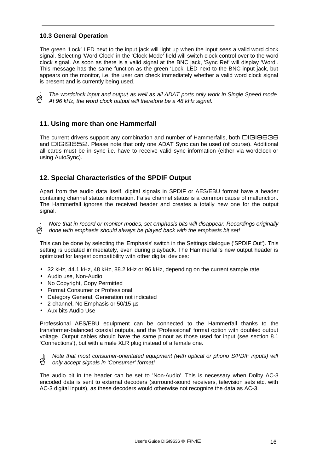## **10.3 General Operation**

The green 'Lock' LED next to the input jack will light up when the input sees a valid word clock signal. Selecting 'Word Clock' in the 'Clock Mode' field will switch clock control over to the word clock signal. As soon as there is a valid signal at the BNC jack, 'Sync Ref' will display 'Word'. This message has the same function as the green 'Lock' LED next to the BNC input jack, but appears on the monitor, i.e. the user can check immediately whether a valid word clock signal is present and is currently being used.



*The wordclock input and output as well as all ADAT ports only work in Single Speed mode. At 96 kHz, the word clock output will therefore be a 48 kHz signal.*

## **11. Using more than one Hammerfall**

The current drivers support any combination and number of Hammerfalls, both DIGI9636 and DIGI9652. Please note that only one ADAT Sync can be used (of course). Additional all cards must be in sync i.e. have to receive valid sync information (either via wordclock or using AutoSync).

# **12. Special Characteristics of the SPDIF Output**

Apart from the audio data itself, digital signals in SPDIF or AES/EBU format have a header containing channel status information. False channel status is a common cause of malfunction. The Hammerfall ignores the received header and creates a totally new one for the output signal.

*Note that in record or monitor modes, set emphasis bits will disappear. Recordings originally done with emphasis should always be played back with the emphasis bit set!*

This can be done by selecting the 'Emphasis' switch in the Settings dialogue ('SPDIF Out'). This setting is updated immediately, even during playback. The Hammerfall's new output header is optimized for largest compatibility with other digital devices:

- 32 kHz, 44.1 kHz, 48 kHz, 88.2 kHz or 96 kHz, depending on the current sample rate
- Audio use, Non-Audio
- No Copyright, Copy Permitted
- Format Consumer or Professional
- Category General, Generation not indicated
- 2-channel, No Emphasis or 50/15 µs
- Aux bits Audio Use

Professional AES/EBU equipment can be connected to the Hammerfall thanks to the transformer-balanced coaxial outputs, and the 'Professional' format option with doubled output voltage. Output cables should have the same pinout as those used for input (see section 8.1 'Connections'), but with a male XLR plug instead of a female one.

*Note that most consumer-orientated equipment (with optical or phono S/PDIF inputs) will*  d) *only accept signals in 'Consumer' format!*

The audio bit in the header can be set to 'Non-Audio'. This is necessary when Dolby AC-3 encoded data is sent to external decoders (surround-sound receivers, television sets etc. with AC-3 digital inputs), as these decoders would otherwise not recognize the data as AC-3.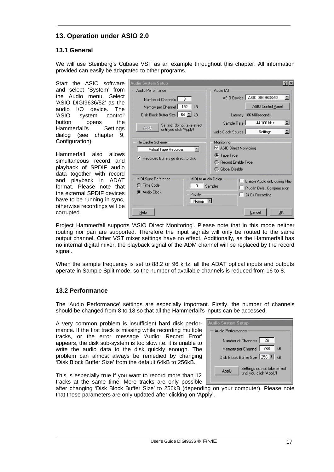# **13. Operation under ASIO 2.0**

## **13.1 General**

We will use Steinberg's Cubase VST as an example throughout this chapter. All information provided can easily be adaptated to other programs.

Start the ASIO software and select 'System' from the Audio menu. Select 'ASIO DIGI9636/52' as the audio I/O device. The<br>'ASIO system control' system control' button opens the Hammerfall's Settings dialog (see chapter 9, Configuration).

Hammerfall also allows simultaneous record and playback of SPDIF audio data together with record and playback in ADAT format. Please note that the external SPDIF devices have to be running in sync, otherwise recordings will be corrupted.

| <b>Audio System Setup</b>                                                                                   | ? X                                                                                                    |
|-------------------------------------------------------------------------------------------------------------|--------------------------------------------------------------------------------------------------------|
| Audio Performance                                                                                           | Audio I/O                                                                                              |
| 8<br>Number of Channels                                                                                     | ASIO Device ASIO DIGI9636/52                                                                           |
| 192<br>kB<br>Memory per Channel                                                                             | ASIO Control Panel                                                                                     |
| Disk Block Buffer Size   64 ■<br>kR                                                                         | Latency 186 Milliseconds                                                                               |
| Settings do not take effect                                                                                 | 44.100 kHz<br>Sample Rate                                                                              |
| Apply<br>until you click 'Apply'!                                                                           | E<br>sudio Clock Source I<br>Settings                                                                  |
| File Cache Scheme.<br>E<br>Virtual Tape Recorder<br>Recorded Buffers go direct to disk                      | Monitoring<br>■ ASIO Direct Monitoring<br><b>●</b> Tape Type<br>◯ Record Enable Type<br>Global Disable |
| MIDI Sync Reference<br>MIDI to Audio Delay<br>Time Code<br>02<br>0<br>C Audio Clock<br>Priority<br>Normal E | Enable Audio only during Play<br>Samples<br>Plug-In Delay Compensation<br>24 Bit Recording             |
| Help                                                                                                        | Cancel<br>0K                                                                                           |

Project Hammerfall supports 'ASIO Direct Monitoring'. Please note that in this mode neither routing nor pan are supported. Therefore the input signals will only be routed to the same output channel. Other VST mixer settings have no effect. Additionally, as the Hammerfall has no internal digital mixer, the playback signal of the ADM channel will be replaced by the record signal.

When the sample frequency is set to 88.2 or 96 kHz, all the ADAT optical inputs and outputs operate in Sample Split mode, so the number of available channels is reduced from 16 to 8.

## **13.2 Performance**

The 'Audio Performance' settings are especially important. Firstly, the number of channels should be changed from 8 to 18 so that all the Hammerfall's inputs can be accessed.

A very common problem is insufficient hard disk performance. If the first track is missing while recording multiple tracks, or the error message 'Audio: Record Error' appears, the disk sub-system is too slow i.e. it is unable to write the audio data to the disk quickly enough. The problem can almost always be remedied by changing 'Disk Block Buffer Size' from the default 64kB to 256kB.

| Audio System Setup                                               |  |  |  |
|------------------------------------------------------------------|--|--|--|
| Audio Performance                                                |  |  |  |
| Number of Channels  <br>26                                       |  |  |  |
| Memory per Channel   768<br>kB                                   |  |  |  |
| Disk Block Buffer Size   256     kB                              |  |  |  |
| Settings do not take effect<br>Apply<br>until you click 'Apply'! |  |  |  |

This is especially true if you want to record more than 12 tracks at the same time. More tracks are only possible

after changing 'Disk Block Buffer Size' to 256kB (depending on your computer). Please note that these parameters are only updated after clicking on 'Apply'.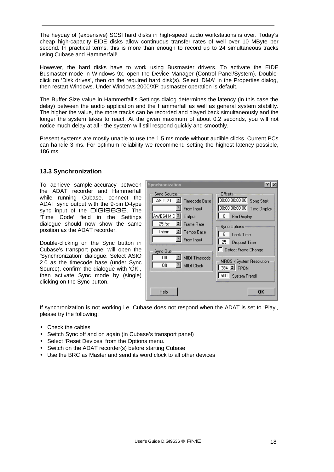The heyday of (expensive) SCSI hard disks in high-speed audio workstations is over. Today's cheap high-capacity EIDE disks allow continuous transfer rates of well over 10 MByte per second. In practical terms, this is more than enough to record up to 24 simultaneous tracks using Cubase and Hammerfall!

However, the hard disks have to work using Busmaster drivers. To activate the EIDE Busmaster mode in Windows 9x, open the Device Manager (Control Panel/System). Doubleclick on 'Disk drives', then on the required hard disk(s). Select 'DMA' in the Properties dialog, then restart Windows. Under Windows 2000/XP busmaster operation is default.

The Buffer Size value in Hammerfall's Settings dialog determines the latency (in this case the delay) between the audio application and the Hammerfall as well as general system stability. The higher the value, the more tracks can be recorded and played back simultaneously and the longer the system takes to react. At the given maximum of about 0.2 seconds, you will not notice much delay at all - the system will still respond quickly and smoothly.

Present systems are mostly unable to use the 1.5 ms mode without audible clicks. Current PCs can handle 3 ms. For optimum reliability we recommend setting the highest latency possible, 186 ms.

#### **13.3 Synchronization**

To achieve sample-accuracy between the ADAT recorder and Hammerfall while running Cubase, connect the ADAT sync output with the 9-pin D-type sync input of the DIGI9636. The 'Time Code' field in the Settings dialogue should now show the same position as the ADAT recorder.

Double-clicking on the Sync button in Cubase's transport panel will open the 'Synchronization' dialogue. Select ASIO 2.0 as the timecode base (under Sync Source), confirm the dialogue with 'OK', then activate Sync mode by (single) clicking on the Sync button.

| Synchronization                                                                                                                                              | 7                                                                                                                                                              |
|--------------------------------------------------------------------------------------------------------------------------------------------------------------|----------------------------------------------------------------------------------------------------------------------------------------------------------------|
| Sync Source<br>ASIO 2.0 L Timecode Base<br>$I$ From Input<br>AWE64 MID 4 Output<br>25 fps<br>Frame Rate<br>I Tempo Base<br>Intern<br>$\mathbb{E}$ From Input | Offsets<br>00:00:00:00:00<br>Song Start<br>00:00:00:00:00<br><b>Time Display</b><br>0<br><b>Bar Display</b><br>Sync Options<br>Lock Time<br>25<br>Dropout Time |
| Sync Out<br>MIDI Timecode<br>Off<br>Off<br>죄 MIDI Clock                                                                                                      | Detect Frame Change<br>MROS 7 System Resolution<br>$384$ $\Box$ PPQN<br>500<br><b>System Preroll</b>                                                           |
| Help                                                                                                                                                         | OK                                                                                                                                                             |

If synchronization is not working i.e. Cubase does not respond when the ADAT is set to 'Play', please try the following:

- Check the cables
- Switch Sync off and on again (in Cubase's transport panel)
- Select 'Reset Devices' from the Options menu.
- Switch on the ADAT recorder(s) before starting Cubase
- Use the BRC as Master and send its word clock to all other devices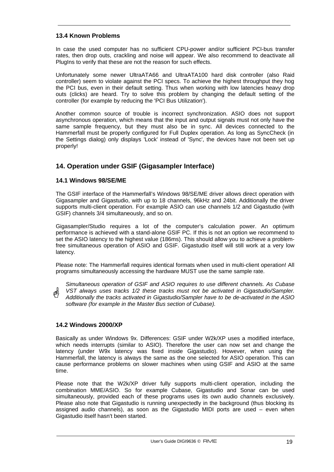#### **13.4 Known Problems**

In case the used computer has no sufficient CPU-power and/or sufficient PCI-bus transfer rates, then drop outs, crackling and noise will appear. We also recommend to deactivate all PlugIns to verify that these are not the reason for such effects.

Unfortunately some newer UltraATA66 and UltraATA100 hard disk controller (also Raid controller) seem to violate against the PCI specs. To achieve the highest throughput they hog the PCI bus, even in their default setting. Thus when working with low latencies heavy drop outs (clicks) are heard. Try to solve this problem by changing the default setting of the controller (for example by reducing the 'PCI Bus Utilization').

Another common source of trouble is incorrect synchronization. ASIO does not support asynchronous operation, which means that the input and output signals must not only have the same sample frequency, but they must also be in sync. All devices connected to the Hammerfall must be properly configured for Full Duplex operation. As long as SyncCheck (in the Settings dialog) only displays 'Lock' instead of 'Sync', the devices have not been set up properly!

# **14. Operation under GSIF (Gigasampler Interface)**

#### **14.1 Windows 98/SE/ME**

The GSIF interface of the Hammerfall's Windows 98/SE/ME driver allows direct operation with Gigasampler and Gigastudio, with up to 18 channels, 96kHz and 24bit. Additionally the driver supports multi-client operation. For example ASIO can use channels 1/2 and Gigastudio (with GSIF) channels 3/4 simultaneously, and so on.

Gigasampler/Studio requires a lot of the computer's calculation power. An optimum performance is achieved with a stand-alone GSIF PC. If this is not an option we recommend to set the ASIO latency to the highest value (186ms). This should allow you to achieve a problemfree simultaneous operation of ASIO and GSIF. Gigastudio itself will still work at a very low latency.

Please note: The Hammerfall requires identical formats when used in multi-client operation! All programs simultaneously accessing the hardware MUST use the same sample rate.

*Simultaneous operation of GSIF and ASIO requires to use different channels. As Cubase VST always uses tracks 1/2 these tracks must not be activated in Gigastudio/Sampler. Additionally the tracks activated in Gigastudio/Sampler have to be de-activated in the ASIO software (for example in the Master Bus section of Cubase).*

#### **14.2 Windows 2000/XP**

Basically as under Windows 9x. Differences: GSIF under W2k/XP uses a modified interface, which needs interrupts (similar to ASIO). Therefore the user can now set and change the latency (under W9x latency was fixed inside Gigastudio). However, when using the Hammerfall, the latency is always the same as the one selected for ASIO operation. This can cause performance problems on slower machines when using GSIF and ASIO at the same time.

Please note that the W2k/XP driver fully supports multi-client operation, including the combination MME/ASIO. So for example Cubase, Gigastudio and Sonar can be used simultaneously, provided each of these programs uses its own audio channels exclusively. Please also note that Gigastudio is running unexpectedly in the background (thus blocking its assigned audio channels), as soon as the Gigastudio MIDI ports are used – even when Gigastudio itself hasn't been started.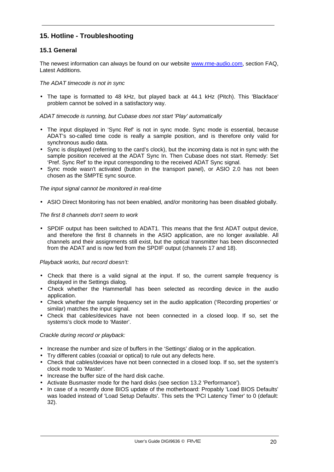# **15. Hotline - Troubleshooting**

#### **15.1 General**

The newest information can always be found on our website www.rme-audio.com, section FAQ, Latest Additions.

#### *The ADAT timecode is not in sync*

• The tape is formatted to 48 kHz, but played back at 44.1 kHz (Pitch). This 'Blackface' problem cannot be solved in a satisfactory way.

#### *ADAT timecode is running, but Cubase does not start 'Play' automatically*

- The input displayed in 'Sync Ref' is not in sync mode. Sync mode is essential, because ADAT's so-called time code is really a sample position, and is therefore only valid for synchronous audio data.
- Sync is displayed (referring to the card's clock), but the incoming data is not in sync with the sample position received at the ADAT Sync In. Then Cubase does not start. Remedy: Set 'Pref. Sync Ref' to the input corresponding to the received ADAT Sync signal.
- Sync mode wasn't activated (button in the transport panel), or ASIO 2.0 has not been chosen as the SMPTE sync source.

#### *The input signal cannot be monitored in real-time*

• ASIO Direct Monitoring has not been enabled, and/or monitoring has been disabled globally.

#### *The first 8 channels don't seem to work*

• SPDIF output has been switched to ADAT1. This means that the first ADAT output device, and therefore the first 8 channels in the ASIO application, are no longer available. All channels and their assignments still exist, but the optical transmitter has been disconnected from the ADAT and is now fed from the SPDIF output (channels 17 and 18).

#### *Playback works, but record doesn't:*

- Check that there is a valid signal at the input. If so, the current sample frequency is displayed in the Settings dialog.
- Check whether the Hammerfall has been selected as recording device in the audio application.
- Check whether the sample frequency set in the audio application ('Recording properties' or similar) matches the input signal.
- Check that cables/devices have not been connected in a closed loop. If so, set the systems's clock mode to 'Master'.

#### *Crackle during record or playback:*

- Increase the number and size of buffers in the 'Settings' dialog or in the application.
- Try different cables (coaxial or optical) to rule out any defects here.
- Check that cables/devices have not been connected in a closed loop. If so, set the system's clock mode to 'Master'.
- Increase the buffer size of the hard disk cache.
- Activate Busmaster mode for the hard disks (see section 13.2 'Performance').
- In case of a recently done BIOS update of the motherboard: Propably 'Load BIOS Defaults' was loaded instead of 'Load Setup Defaults'. This sets the 'PCI Latency Timer' to 0 (default: 32).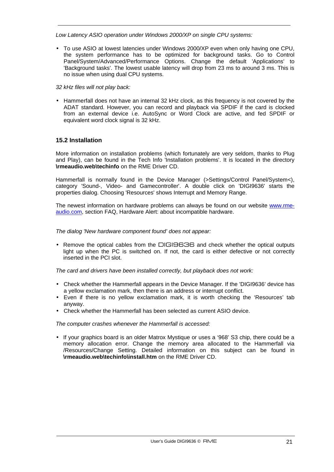*Low Latency ASIO operation under Windows 2000/XP on single CPU systems:*

- To use ASIO at lowest latencies under Windows 2000/XP even when only having one CPU, the system performance has to be optimized for background tasks. Go to Control Panel/System/Advanced/Performance Options. Change the default 'Applications' to 'Background tasks'. The lowest usable latency will drop from 23 ms to around 3 ms. This is no issue when using dual CPU systems.
- *32 kHz files will not play back:*
- Hammerfall does not have an internal 32 kHz clock, as this frequency is not covered by the ADAT standard. However, you can record and playback via SPDIF if the card is clocked from an external device i.e. AutoSync or Word Clock are active, and fed SPDIF or equivalent word clock signal is 32 kHz.

### **15.2 Installation**

More information on installation problems (which fortunately are very seldom, thanks to Plug and Play), can be found in the Tech Info 'Installation problems'. It is located in the directory **\rmeaudio.web\techinfo** on the RME Driver CD.

Hammerfall is normally found in the Device Manager (>Settings/Control Panel/System<), category 'Sound-, Video- and Gamecontroller'. A double click on 'DIGI9636' starts the properties dialog. Choosing 'Resources' shows Interrupt and Memory Range.

The newest information on hardware problems can always be found on our website www.rmeaudio.com, section FAQ, Hardware Alert: about incompatible hardware.

*The dialog 'New hardware component found' does not appear:*

• Remove the optical cables from the DIGI9636 and check whether the optical outputs light up when the PC is switched on. If not, the card is either defective or not correctly inserted in the PCI slot.

*The card and drivers have been installed correctly, but playback does not work:*

- Check whether the Hammerfall appears in the Device Manager. If the 'DIGI9636' device has a yellow exclamation mark, then there is an address or interrupt conflict.
- Even if there is no yellow exclamation mark, it is worth checking the 'Resources' tab anyway.
- Check whether the Hammerfall has been selected as current ASIO device.

*The computer crashes whenever the Hammerfall is accessed:*

• If your graphics board is an older Matrox Mystique or uses a '968' S3 chip, there could be a memory allocation error. Change the memory area allocated to the Hammerfall via /Resources/Change Setting. Detailed information on this subject can be found in **\rmeaudio.web\techinfo\install.htm** on the RME Driver CD.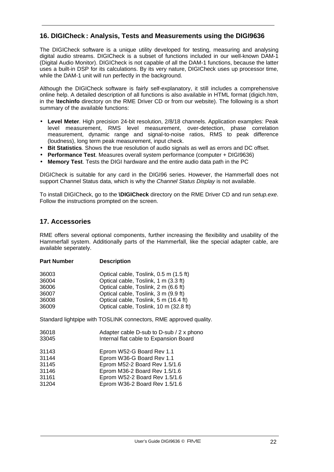## **16. DIGICheck : Analysis, Tests and Measurements using the DIGI9636**

The DIGICheck software is a unique utility developed for testing, measuring and analysing digital audio streams. DIGICheck is a subset of functions included in our well-known DAM-1 (Digital Audio Monitor). DIGICheck is not capable of all the DAM-1 functions, because the latter uses a built-in DSP for its calculations. By its very nature, DIGICheck uses up processor time, while the DAM-1 unit will run perfectly in the background.

Although the DIGICheck software is fairly self-explanatory, it still includes a comprehensive online help. A detailed description of all functions is also available in HTML format (digich.htm, in the **\techinfo** directory on the RME Driver CD or from our website). The following is a short summary of the available functions:

- **Level Meter**. High precision 24-bit resolution, 2/8/18 channels. Application examples: Peak level measurement, RMS level measurement, over-detection, phase correlation measurement, dynamic range and signal-to-noise ratios, RMS to peak difference (loudness), long term peak measurement, input check.
- **Bit Statistics**. Shows the true resolution of audio signals as well as errors and DC offset.
- **Performance Test**. Measures overall system performance (computer + DIGI9636)
- **Memory Test**. Tests the DIGI hardware and the entire audio data path in the PC

DIGICheck is suitable for any card in the DIGI96 series. However, the Hammerfall does not support Channel Status data, which is why the *Channel Status Display* is not available.

To install DIGICheck, go to the **\DIGICheck** directory on the RME Driver CD and run *setup.exe*. Follow the instructions prompted on the screen.

## **17. Accessories**

RME offers several optional components, further increasing the flexibility and usability of the Hammerfall system. Additionally parts of the Hammerfall, like the special adapter cable, are available seperately.

| <b>Part Number</b> | <b>Description</b>                                                |  |  |
|--------------------|-------------------------------------------------------------------|--|--|
| 36003              | Optical cable, Toslink, 0.5 m (1.5 ft)                            |  |  |
| 36004              | Optical cable, Toslink, 1 m (3.3 ft)                              |  |  |
| 36006              | Optical cable, Toslink, 2 m (6.6 ft)                              |  |  |
| 36007              | Optical cable, Toslink, 3 m (9.9 ft)                              |  |  |
| 36008              | Optical cable, Toslink, 5 m (16.4 ft)                             |  |  |
| 36009              | Optical cable, Toslink, 10 m (32.8 ft)                            |  |  |
|                    | Standard lightpipe with TOSLINK connectors, RME approved quality. |  |  |
| 36018              | Adapter cable D-sub to D-sub / 2 x phono                          |  |  |
| 33045              | Internal flat cable to Expansion Board                            |  |  |

| 31143 | Eprom W52-G Board Rev 1.1     |
|-------|-------------------------------|
| 31144 | Eprom W36-G Board Rev 1.1     |
| 31145 | Eprom M52-2 Board Rev 1.5/1.6 |
| 31146 | Eprom M36-2 Board Rev 1.5/1.6 |
| 31161 | Eprom W52-2 Board Rev 1.5/1.6 |
| 31204 | Eprom W36-2 Board Rev 1.5/1.6 |
|       |                               |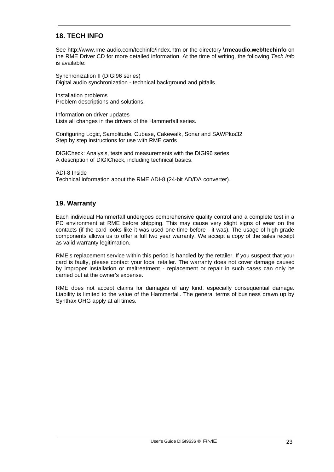# **18. TECH INFO**

See http://www.rme-audio.com/techinfo/index.htm or the directory **\rmeaudio.web\techinfo** on the RME Driver CD for more detailed information. At the time of writing, the following *Tech Info* is available:

Synchronization II (DIGI96 series) Digital audio synchronization - technical background and pitfalls.

Installation problems Problem descriptions and solutions.

Information on driver updates Lists all changes in the drivers of the Hammerfall series.

Configuring Logic, Samplitude, Cubase, Cakewalk, Sonar and SAWPlus32 Step by step instructions for use with RME cards

DIGICheck: Analysis, tests and measurements with the DIGI96 series A description of DIGICheck, including technical basics.

ADI-8 Inside Technical information about the RME ADI-8 (24-bit AD/DA converter).

### **19. Warranty**

Each individual Hammerfall undergoes comprehensive quality control and a complete test in a PC environment at RME before shipping. This may cause very slight signs of wear on the contacts (if the card looks like it was used one time before - it was). The usage of high grade components allows us to offer a full two year warranty. We accept a copy of the sales receipt as valid warranty legitimation.

RME's replacement service within this period is handled by the retailer. If you suspect that your card is faulty, please contact your local retailer. The warranty does not cover damage caused by improper installation or maltreatment - replacement or repair in such cases can only be carried out at the owner's expense.

RME does not accept claims for damages of any kind, especially consequential damage. Liability is limited to the value of the Hammerfall. The general terms of business drawn up by Synthax OHG apply at all times.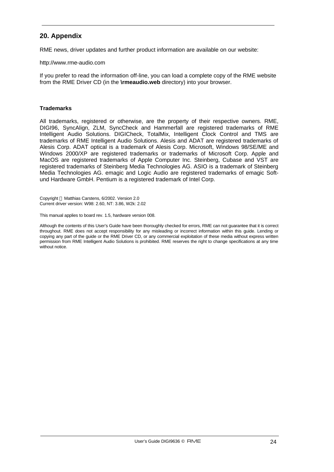## **20. Appendix**

RME news, driver updates and further product information are available on our website:

http://www.rme-audio.com

If you prefer to read the information off-line, you can load a complete copy of the RME website from the RME Driver CD (in the **\rmeaudio.web** directory) into your browser.

#### **Trademarks**

All trademarks, registered or otherwise, are the property of their respective owners. RME, DIGI96, SyncAlign, ZLM, SyncCheck and Hammerfall are registered trademarks of RME Intelligent Audio Solutions. DIGICheck, TotalMix, Intelligent Clock Control and TMS are trademarks of RME Intelligent Audio Solutions. Alesis and ADAT are registered trademarks of Alesis Corp. ADAT optical is a trademark of Alesis Corp. Microsoft, Windows 98/SE/ME and Windows 2000/XP are registered trademarks or trademarks of Microsoft Corp. Apple and MacOS are registered trademarks of Apple Computer Inc. Steinberg, Cubase and VST are registered trademarks of Steinberg Media Technologies AG. ASIO is a trademark of Steinberg Media Technologies AG. emagic and Logic Audio are registered trademarks of emagic Softund Hardware GmbH. Pentium is a registered trademark of Intel Corp.

Copyright © Matthias Carstens, 6/2002. Version 2.0 Current driver version: W98: 2.60, NT: 3.86, W2k: 2.02

This manual applies to board rev. 1.5, hardware version 008.

Although the contents of this User's Guide have been thoroughly checked for errors, RME can not guarantee that it is correct throughout. RME does not accept responsibility for any misleading or incorrect information within this guide. Lending or copying any part of the guide or the RME Driver CD, or any commercial exploitation of these media without express written permission from RME Intelligent Audio Solutions is prohibited. RME reserves the right to change specifications at any time without notice.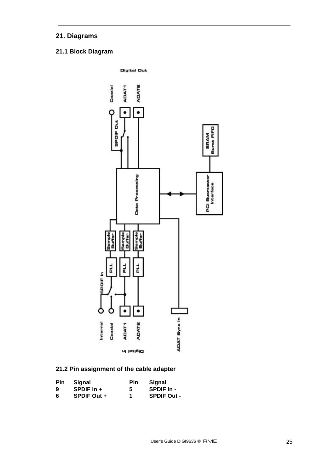# **21. Diagrams**

# **21.1 Block Diagram**



# **21.2 Pin assignment of the cable adapter**

| <b>Pin</b> | Signal             | Pin | Signal             |
|------------|--------------------|-----|--------------------|
| 9          | SPDIF $\ln$ +      | -5  | SPDIF In -         |
| 6          | <b>SPDIF Out +</b> | 1   | <b>SPDIF Out -</b> |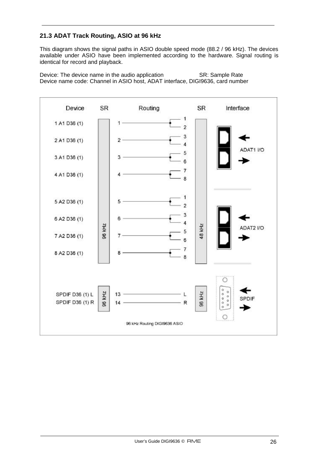# **21.3 ADAT Track Routing, ASIO at 96 kHz**

This diagram shows the signal paths in ASIO double speed mode (88.2 / 96 kHz). The devices available under ASIO have been implemented according to the hardware. Signal routing is identical for record and playback.

Device: The device name in the audio application SR: Sample Rate Device name code: Channel in ASIO host, ADAT interface, DIGI9636, card number

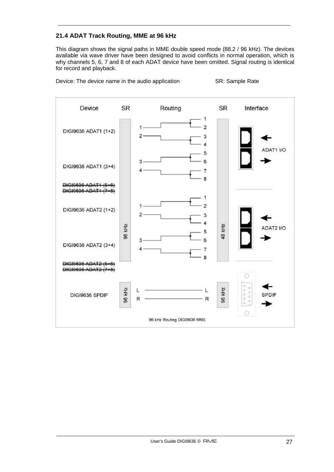## **21.4 ADAT Track Routing, MME at 96 kHz**

This diagram shows the signal paths in MME double speed mode (88.2 / 96 kHz). The devices available via wave driver have been designed to avoid conflicts in normal operation, which is why channels 5, 6, 7 and 8 of each ADAT device have been omitted. Signal routing is identical for record and playback.

Device: The device name in the audio application SR: Sample Rate